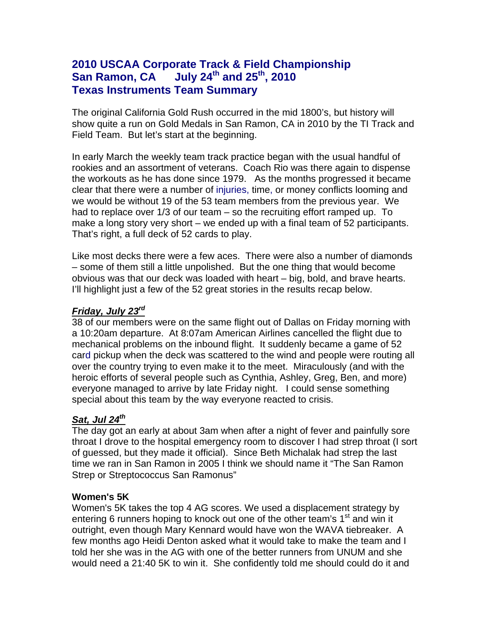# **2010 USCAA Corporate Track & Field Championship San Ramon, CA** July 24<sup>th</sup> and 25<sup>th</sup>, 2010 **Texas Instruments Team Summary**

The original California Gold Rush occurred in the mid 1800's, but history will show quite a run on Gold Medals in San Ramon, CA in 2010 by the TI Track and Field Team. But let's start at the beginning.

In early March the weekly team track practice began with the usual handful of rookies and an assortment of veterans. Coach Rio was there again to dispense the workouts as he has done since 1979. As the months progressed it became clear that there were a number of injuries, time, or money conflicts looming and we would be without 19 of the 53 team members from the previous year. We had to replace over 1/3 of our team – so the recruiting effort ramped up. To make a long story very short – we ended up with a final team of 52 participants. That's right, a full deck of 52 cards to play.

Like most decks there were a few aces. There were also a number of diamonds – some of them still a little unpolished. But the one thing that would become obvious was that our deck was loaded with heart – big, bold, and brave hearts. I'll highlight just a few of the 52 great stories in the results recap below.

## *Friday, July 23rd*

38 of our members were on the same flight out of Dallas on Friday morning with a 10:20am departure. At 8:07am American Airlines cancelled the flight due to mechanical problems on the inbound flight. It suddenly became a game of 52 card pickup when the deck was scattered to the wind and people were routing all over the country trying to even make it to the meet. Miraculously (and with the heroic efforts of several people such as Cynthia, Ashley, Greg, Ben, and more) everyone managed to arrive by late Friday night. I could sense something special about this team by the way everyone reacted to crisis.

# *Sat, Jul 24th*

The day got an early at about 3am when after a night of fever and painfully sore throat I drove to the hospital emergency room to discover I had strep throat (I sort of guessed, but they made it official). Since Beth Michalak had strep the last time we ran in San Ramon in 2005 I think we should name it "The San Ramon Strep or Streptococcus San Ramonus"

## **Women's 5K**

Women's 5K takes the top 4 AG scores. We used a displacement strategy by entering 6 runners hoping to knock out one of the other team's  $1<sup>st</sup>$  and win it outright, even though Mary Kennard would have won the WAVA tiebreaker. A few months ago Heidi Denton asked what it would take to make the team and I told her she was in the AG with one of the better runners from UNUM and she would need a 21:40 5K to win it. She confidently told me should could do it and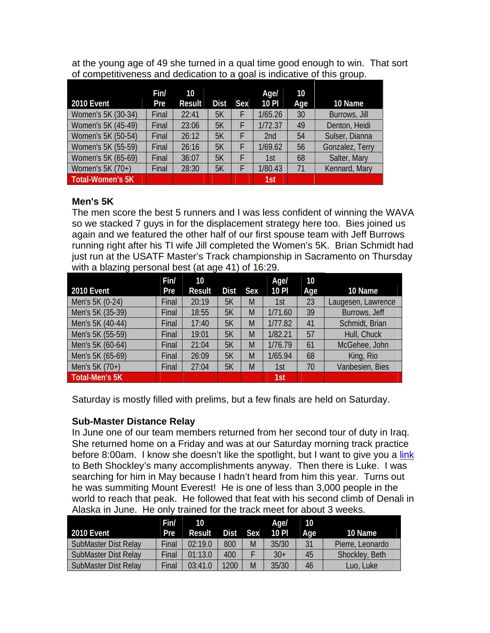at the young age of 49 she turned in a qual time good enough to win. That sort of competitiveness and dedication to a goal is indicative of this group.

| <b>2010 Event</b>       | Fin/<br>Pre | 10<br><b>Result</b> | <b>Dist</b> | <b>Sex</b> | Age/<br>10 PI   | 10<br>Age | 10 Name         |
|-------------------------|-------------|---------------------|-------------|------------|-----------------|-----------|-----------------|
| Women's 5K (30-34)      | Final       | 22:41               | 5K          | F          | 1/65.26         | 30        | Burrows, Jill   |
| Women's 5K (45-49)      | Final       | 23:06               | 5K          | F          | 1/72.37         | 49        | Denton, Heidi   |
| Women's 5K (50-54)      | Final       | 26:12               | 5K          | F          | 2 <sub>nd</sub> | 54        | Sulser, Dianna  |
| Women's 5K (55-59)      | Final       | 26:16               | 5K          | F          | 1/69.62         | 56        | Gonzalez, Terry |
| Women's 5K (65-69)      | Final       | 36:07               | 5K          | F          | 1st             | 68        | Salter, Mary    |
| Women's 5K (70+)        | Final       | 28:30               | 5K          |            | 1/80.43         | 71        | Kennard, Mary   |
| <b>Total-Women's 5K</b> |             |                     |             |            | 1st             |           |                 |

## **Men's 5K**

The men score the best 5 runners and I was less confident of winning the WAVA so we stacked 7 guys in for the displacement strategy here too. Bies joined us again and we featured the other half of our first spouse team with Jeff Burrows running right after his TI wife Jill completed the Women's 5K. Brian Schmidt had just run at the USATF Master's Track championship in Sacramento on Thursday with a blazing personal best (at age 41) of 16:29.

|                   | Fin/  | 10     |             |            | Agel    | 10  |                    |
|-------------------|-------|--------|-------------|------------|---------|-----|--------------------|
| <b>2010 Event</b> | Pre   | Result | <b>Dist</b> | <b>Sex</b> | 10 PI   | Age | 10 Name            |
| Men's 5K (0-24)   | Final | 20:19  | 5K          | M          | 1st     | 23  | Laugesen, Lawrence |
| Men's 5K (35-39)  | Final | 18:55  | 5K          | M          | 1/71.60 | 39  | Burrows, Jeff      |
| Men's 5K (40-44)  | Final | 17:40  | 5K          | M          | 1/77.82 | 41  | Schmidt, Brian     |
| Men's 5K (55-59)  | Final | 19:01  | 5K          | M          | 1/82.21 | 57  | Hull, Chuck        |
| Men's 5K (60-64)  | Final | 21:04  | 5K          | M          | 1/76.79 | 61  | McGehee, John      |
| Men's 5K (65-69)  | Final | 26:09  | 5K          | M          | 1/65.94 | 68  | King, Rio          |
| Men's 5K (70+)    | Final | 27:04  | 5K          | M          | 1st     | 70  | Vanbesien, Bies    |
| Total-Men's 5K    |       |        |             |            | 1st     |     |                    |

Saturday is mostly filled with prelims, but a few finals are held on Saturday.

## **Sub-Master Distance Relay**

In June one of our team members returned from her second tour of duty in Iraq. She returned home on a Friday and was at our Saturday morning track practice before 8:00am. I know she doesn't like the spotlight, but I want to give you a link to Beth Shockley's many accomplishments anyway. Then there is Luke. I was searching for him in May because I hadn't heard from him this year. Turns out he was summiting Mount Everest! He is one of less than 3,000 people in the world to reach that peak. He followed that feat with his second climb of Denali in Alaska in June. He only trained for the track meet for about 3 weeks.

|                      | Fin/       | $10^{\circ}$ |      |            | Age/  | 10  |                  |
|----------------------|------------|--------------|------|------------|-------|-----|------------------|
| <b>2010 Event</b>    | <b>Pre</b> | Result       | Dist | <b>Sex</b> | 10P   | Aae | 10 Name          |
| SubMaster Dist Relay | Final      | 02:19.0      | 800  | M          | 35/30 | 31  | Pierre, Leonardo |
| SubMaster Dist Relay | Final      | 01:13.0      | 400  |            | $30+$ | 45  | Shockley, Beth   |
| SubMaster Dist Relay | Final      | 03:41.0      | 1200 | M          | 35/30 | 46  | Luo, Luke        |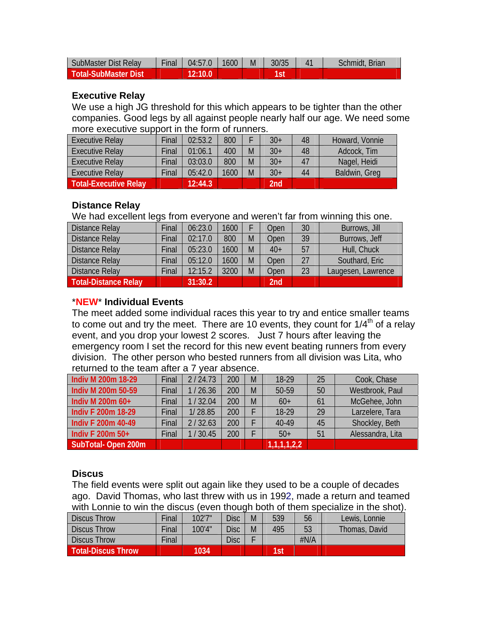| SubMaster Dist Relay        | <b>Final</b> | 04:57.0 | 1600 | M | 30/35 | Schmidt, Brian |
|-----------------------------|--------------|---------|------|---|-------|----------------|
| <b>Total-SubMaster Dist</b> |              |         |      |   |       |                |

### **Executive Relay**

We use a high JG threshold for this which appears to be tighter than the other companies. Good legs by all against people nearly half our age. We need some more executive support in the form of runners.

| <b>Executive Relay</b>       | Final | 02:53.2 | 800  |   | $30+$ | 48 | Howard, Vonnie |
|------------------------------|-------|---------|------|---|-------|----|----------------|
| <b>Executive Relay</b>       | Final | 01:06.1 | 400  | M | $30+$ | 48 | Adcock, Tim    |
| <b>Executive Relay</b>       | Final | 03:03.0 | 800  | M | $30+$ | 47 | Nagel, Heidi   |
| <b>Executive Relay</b>       | Final | 05:42.0 | 1600 | M | $30+$ | 44 | Baldwin, Greg  |
| <b>Total-Executive Relay</b> |       | 12:44.3 |      |   | 2nd   |    |                |

## **Distance Relay**

We had excellent legs from everyone and weren't far from winning this one.

| <b>Distance Relay</b>       | Final | 06:23.0 | 1600 |   | Open            | 30 | Burrows, Jill      |
|-----------------------------|-------|---------|------|---|-----------------|----|--------------------|
| <b>Distance Relay</b>       | Final | 02:17.0 | 800  | M | Open            | 39 | Burrows, Jeff      |
| <b>Distance Relay</b>       | Final | 05:23.0 | 1600 | M | $40+$           | 57 | Hull, Chuck        |
| <b>Distance Relay</b>       | Final | 05:12.0 | 1600 | M | Open            | 27 | Southard, Eric     |
| <b>Distance Relay</b>       | Final | 12:15.2 | 3200 | M | Open            | 23 | Laugesen, Lawrence |
| <b>Total-Distance Relay</b> |       | 31:30.2 |      |   | 2 <sub>nd</sub> |    |                    |

## \***NEW**\* **Individual Events**

The meet added some individual races this year to try and entice smaller teams to come out and try the meet. There are 10 events, they count for  $1/4<sup>th</sup>$  of a relay event, and you drop your lowest 2 scores. Just 7 hours after leaving the emergency room I set the record for this new event beating runners from every division. The other person who bested runners from all division was Lita, who returned to the team after a 7 year absence.

| <b>Indiv M 200m 18-29</b> | Final | 2/24.73 | 200 | M | 18-29         | 25 | Cook, Chase      |
|---------------------------|-------|---------|-----|---|---------------|----|------------------|
| Indiv M 200m 50-59        | Final | 1/26.36 | 200 | M | 50-59         | 50 | Westbrook, Paul  |
| Indiv M 200m 60+          | Final | 1/32.04 | 200 | M | $60+$         | 61 | McGehee, John    |
| <b>Indiv F 200m 18-29</b> | Final | 1/28.85 | 200 |   | 18-29         | 29 | Larzelere, Tara  |
| <b>Indiv F 200m 40-49</b> | Final | 2/32.63 | 200 |   | 40-49         | 45 | Shockley, Beth   |
| Indiv F 200m 50+          | Final | 30.45   | 200 |   | $50+$         | 51 | Alessandra, Lita |
| SubTotal-Open 200m        |       |         |     |   | [1,1,1,1,2,2] |    |                  |

## **Discus**

The field events were split out again like they used to be a couple of decades ago. David Thomas, who last threw with us in 1992, made a return and teamed with Lonnie to win the discus (even though both of them specialize in the shot).

| <b>Discus Throw</b>       | Final | 102'7" | Disc        | 539 | 56   | Lewis, Lonnie |
|---------------------------|-------|--------|-------------|-----|------|---------------|
| <b>Discus Throw</b>       | Final | 100'4" | <b>Disc</b> | 495 | 53   | Thomas, David |
| <b>Discus Throw</b>       | Final |        | Disc        |     | #N/A |               |
| <b>Total-Discus Throw</b> |       | 1034   |             | 1st |      |               |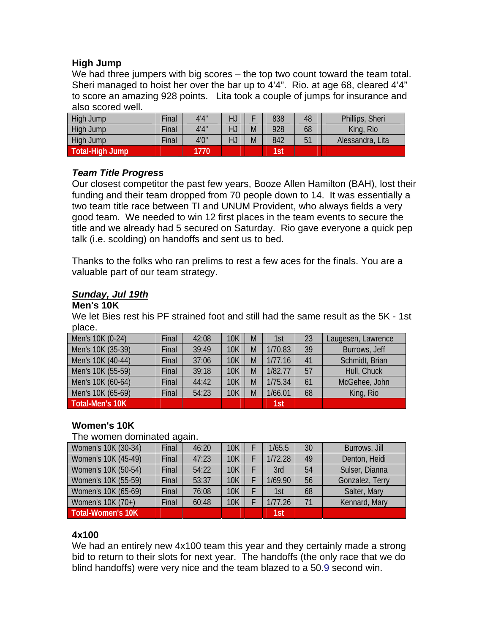## **High Jump**

We had three jumpers with big scores – the top two count toward the team total. Sheri managed to hoist her over the bar up to 4'4". Rio. at age 68, cleared 4'4" to score an amazing 928 points. Lita took a couple of jumps for insurance and also scored well.

| High Jump              | Final | 4'4'' | HJ |   | 838 | 48 | Phillips, Sheri  |
|------------------------|-------|-------|----|---|-----|----|------------------|
| High Jump              | Final | 4'4'' | HJ | M | 928 | 68 | King, Rio        |
| High Jump              | Final | 4'0'' | HJ | M | 842 | ັ  | Alessandra, Lita |
| <b>Total-High Jump</b> |       | 770   |    |   | 1st |    |                  |

## *Team Title Progress*

Our closest competitor the past few years, Booze Allen Hamilton (BAH), lost their funding and their team dropped from 70 people down to 14. It was essentially a two team title race between TI and UNUM Provident, who always fields a very good team. We needed to win 12 first places in the team events to secure the title and we already had 5 secured on Saturday. Rio gave everyone a quick pep talk (i.e. scolding) on handoffs and sent us to bed.

Thanks to the folks who ran prelims to rest a few aces for the finals. You are a valuable part of our team strategy.

## *Sunday, Jul 19th*

#### **Men's 10K**

We let Bies rest his PF strained foot and still had the same result as the 5K - 1st place.

| Men's 10K (0-24)  | Final | 42:08 | <b>10K</b> | M | 1st     | 23 | Laugesen, Lawrence |
|-------------------|-------|-------|------------|---|---------|----|--------------------|
| Men's 10K (35-39) | Final | 39:49 | <b>10K</b> | M | 1/70.83 | 39 | Burrows, Jeff      |
| Men's 10K (40-44) | Final | 37:06 | <b>10K</b> | M | 1/77.16 | 41 | Schmidt, Brian     |
| Men's 10K (55-59) | Final | 39:18 | <b>10K</b> | M | 1/82.77 | 57 | Hull, Chuck        |
| Men's 10K (60-64) | Final | 44:42 | <b>10K</b> | M | 1/75.34 | 61 | McGehee, John      |
| Men's 10K (65-69) | Final | 54:23 | <b>10K</b> | M | 1/66.01 | 68 | King, Rio          |
| Total-Men's 10K   |       |       |            |   | 1st     |    |                    |

## **Women's 10K**

#### The women dominated again.

| Women's 10K (30-34)      | Final | 46:20 | <b>10K</b> | 1/65.5  | 30 | Burrows, Jill   |
|--------------------------|-------|-------|------------|---------|----|-----------------|
| Women's 10K (45-49)      | Final | 47:23 | 10K        | 1/72.28 | 49 | Denton, Heidi   |
| Women's 10K (50-54)      | Final | 54:22 | <b>10K</b> | 3rd     | 54 | Sulser, Dianna  |
| Women's 10K (55-59)      | Final | 53:37 | <b>10K</b> | 1/69.90 | 56 | Gonzalez, Terry |
| Women's 10K (65-69)      | Final | 76:08 | <b>10K</b> | 1st     | 68 | Salter, Mary    |
| Women's 10K (70+)        | Final | 60:48 | <b>10K</b> | 1/77.26 | 71 | Kennard, Mary   |
| <b>Total-Women's 10K</b> |       |       |            | 1st     |    |                 |

## **4x100**

We had an entirely new 4x100 team this year and they certainly made a strong bid to return to their slots for next year. The handoffs (the only race that we do blind handoffs) were very nice and the team blazed to a 50.9 second win.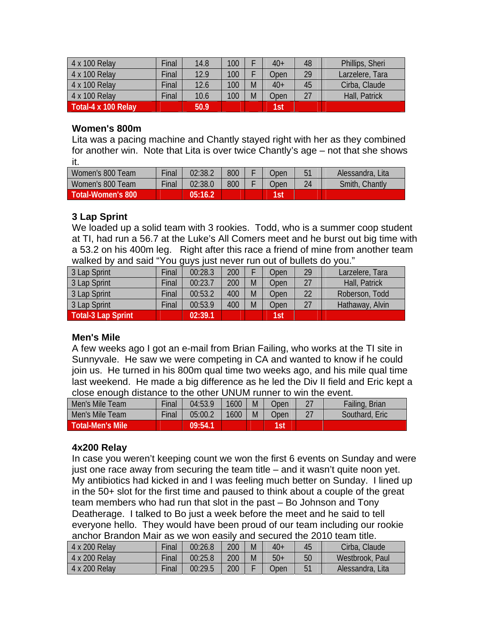| 4 x 100 Relay       | Final | 14.8 | 100 |   | $40+$ | 48 | Phillips, Sheri |
|---------------------|-------|------|-----|---|-------|----|-----------------|
| 4 x 100 Relay       | Final | 12.9 | 100 |   | Open  | 29 | Larzelere, Tara |
| 4 x 100 Relay       | Final | 12.6 | 100 | M | $40+$ | 45 | Cirba, Claude   |
| 4 x 100 Relay       | Final | 10.6 | 100 | M | Open  | 27 | Hall, Patrick   |
| Total-4 x 100 Relay |       | 50.9 |     |   | 1st   |    |                 |

#### **Women's 800m**

Lita was a pacing machine and Chantly stayed right with her as they combined for another win. Note that Lita is over twice Chantly's age – not that she shows it.

| Women's 800 Team  | <b>Final</b> | 02:38.2 | 800 | <b>Open</b> |    | Alessandra, Lita  |
|-------------------|--------------|---------|-----|-------------|----|-------------------|
| Women's 800 Team  | <b>Final</b> | 02:38.0 | 800 | Open        | 24 | Chantly<br>Smith, |
| Total-Women's 800 |              | 05:16.2 |     | 1st         |    |                   |

## **3 Lap Sprint**

We loaded up a solid team with 3 rookies. Todd, who is a summer coop student at TI, had run a 56.7 at the Luke's All Comers meet and he burst out big time with a 53.2 on his 400m leg. Right after this race a friend of mine from another team walked by and said "You guys just never run out of bullets do you."

| 3 Lap Sprint       | Final | 00:28.3 | 200 |   | Open | 29 | Larzelere, Tara |
|--------------------|-------|---------|-----|---|------|----|-----------------|
| 3 Lap Sprint       | Final | 00:23.7 | 200 | M | Open | 77 | Hall, Patrick   |
| 3 Lap Sprint       | Final | 00:53.2 | 400 | M | Open | 22 | Roberson, Todd  |
| 3 Lap Sprint       | Final | 00:53.9 | 400 | M | Open | 27 | Hathaway, Alvin |
| Total-3 Lap Sprint |       | 02:39.1 |     |   | 1st  |    |                 |

## **Men's Mile**

A few weeks ago I got an e-mail from Brian Failing, who works at the TI site in Sunnyvale. He saw we were competing in CA and wanted to know if he could join us. He turned in his 800m qual time two weeks ago, and his mile qual time last weekend. He made a big difference as he led the Div II field and Eric kept a close enough distance to the other UNUM runner to win the event.

| Men's Mile Team  | Final | 04:53.9 | 1600 | M | <b>Open</b> |          | Failing, Brian |
|------------------|-------|---------|------|---|-------------|----------|----------------|
| Men's Mile Team  | Final | 05:00.2 | 1600 | M | <b>Open</b> | $\sim$ 1 | Southard, Eric |
| Total-Men's Mile |       | 09:54.1 |      |   | 1st         |          |                |

## **4x200 Relay**

In case you weren't keeping count we won the first 6 events on Sunday and were just one race away from securing the team title – and it wasn't quite noon yet. My antibiotics had kicked in and I was feeling much better on Sunday. I lined up in the 50+ slot for the first time and paused to think about a couple of the great team members who had run that slot in the past – Bo Johnson and Tony Deatherage. I talked to Bo just a week before the meet and he said to tell everyone hello. They would have been proud of our team including our rookie anchor Brandon Mair as we won easily and secured the 2010 team title.

| 4 x 200 Relay | Final | 00:26.8 | 200 | M | $40+$       | 45 | Cirba, Claude    |
|---------------|-------|---------|-----|---|-------------|----|------------------|
| 4 x 200 Relay | Final | 00:25.8 | 200 | M | $50+$       | 50 | Westbrook, Paul  |
| 4 x 200 Relay | Final | 00:29.5 | 200 |   | <b>Open</b> |    | Alessandra, Lita |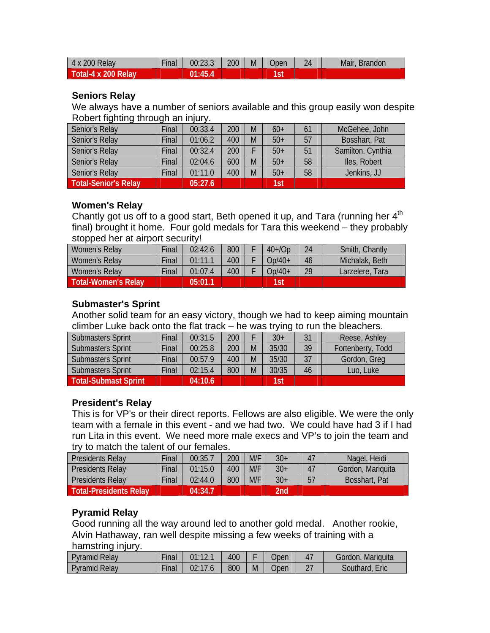| 4 x 200 Relay       | Final | 00:23.3 | 200 | M | Jpen | 24 | Mair,<br><b>Brandon</b> |
|---------------------|-------|---------|-----|---|------|----|-------------------------|
| Total-4 x 200 Relay |       | 01:45.4 |     |   |      |    |                         |

## **Seniors Relay**

We always have a number of seniors available and this group easily won despite Robert fighting through an injury.

| Senior's Relay              | Final | 00:33.4 | 200 | M | $60+$ |    | McGehee, John     |
|-----------------------------|-------|---------|-----|---|-------|----|-------------------|
| Senior's Relay              | Final | 01:06.2 | 400 | M | $50+$ | 57 | Bosshart, Pat     |
| Senior's Relay              | Final | 00:32.4 | 200 |   | $50+$ | 51 | Samilton, Cynthia |
| Senior's Relay              | Final | 02:04.6 | 600 | M | $50+$ | 58 | Iles, Robert      |
| Senior's Relay              | Final | 01:11.0 | 400 | M | $50+$ | 58 | Jenkins, JJ       |
| <b>Total-Senior's Relay</b> |       | 05:27.6 |     |   | 1st   |    |                   |

## **Women's Relay**

Chantly got us off to a good start, Beth opened it up, and Tara (running her  $4<sup>th</sup>$ final) brought it home. Four gold medals for Tara this weekend – they probably stopped her at airport security!

| Women's Relay       | Final | 02:42.6 | 800 | $40+$ /Op | 24 | Smith, Chantly  |
|---------------------|-------|---------|-----|-----------|----|-----------------|
| Women's Relay       | Final | 01:11.1 | 400 | $Op/40+$  | 46 | Michalak, Beth  |
| Women's Relay       | Final | 01:07.4 | 400 | $Op/40+$  | 29 | Larzelere, Tara |
| Total-Women's Relay |       | 05:01.1 |     | 1st       |    |                 |

## **Submaster's Sprint**

Another solid team for an easy victory, though we had to keep aiming mountain climber Luke back onto the flat track – he was trying to run the bleachers.

| Submasters Sprint           | Final | 00:31.5 | 200 |   | $30+$ | 31 | Reese, Ashley     |
|-----------------------------|-------|---------|-----|---|-------|----|-------------------|
| Submasters Sprint           | Final | 00:25.8 | 200 | M | 35/30 | 39 | Fortenberry, Todd |
| Submasters Sprint           | Final | 00:57.9 | 400 | M | 35/30 | 37 | Gordon, Greg      |
| Submasters Sprint           | Final | 02:15.4 | 800 | M | 30/35 | 46 | Luo, Luke         |
| <b>Total-Submast Sprint</b> |       | 04:10.6 |     |   | 1st   |    |                   |

## **President's Relay**

This is for VP's or their direct reports. Fellows are also eligible. We were the only team with a female in this event - and we had two. We could have had 3 if I had run Lita in this event. We need more male execs and VP's to join the team and try to match the talent of our females.

| <b>Presidents Relay</b>       | Final | 00:35.7 | 200 | M/F | $30+$ | 47 | Nagel, Heidi      |
|-------------------------------|-------|---------|-----|-----|-------|----|-------------------|
| <b>Presidents Relay</b>       | Final | 01:15.0 | 400 | M/F | $30+$ |    | Gordon, Mariquita |
| <b>Presidents Relay</b>       | Final | 02:44.0 | 800 | M/F | $30+$ | 57 | Bosshart, Pat     |
| <b>Total-Presidents Relay</b> |       | 04:34.7 |     |     | 2nd   |    |                   |

## **Pyramid Relay**

Good running all the way around led to another gold medal. Another rookie, Alvin Hathaway, ran well despite missing a few weeks of training with a hamstring injury.

| <b>Pyramid Relay</b> | $-$<br>Final | 01.121 | 400 |   | Jpen | Gordon, Mariquita |
|----------------------|--------------|--------|-----|---|------|-------------------|
| <b>Pyramid Relay</b> | $-$<br>Final |        | 800 | M | Jpen | Southard,<br>Eric |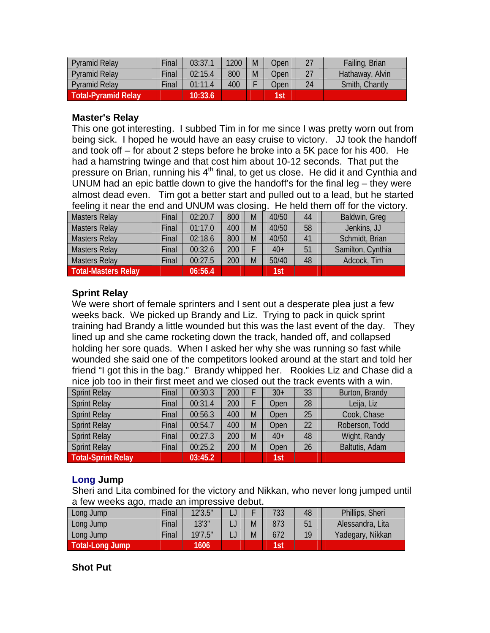| Pyramid Relay       | Final | 03:37.1 | 1200 | M | Jpen |    | Failing, Brian  |
|---------------------|-------|---------|------|---|------|----|-----------------|
| Pyramid Relay       | Final | 02:15.4 | 800  | M | Jpen |    | Hathaway, Alvin |
| Pyramid Relay       | Final | 01:11.4 | 400  |   | Jpen | 24 | Smith, Chantly  |
| Total-Pyramid Relay |       | 10:33.6 |      |   | 1st  |    |                 |

#### **Master's Relay**

This one got interesting. I subbed Tim in for me since I was pretty worn out from being sick. I hoped he would have an easy cruise to victory. JJ took the handoff and took off – for about 2 steps before he broke into a 5K pace for his 400. He had a hamstring twinge and that cost him about 10-12 seconds. That put the pressure on Brian, running his  $4<sup>th</sup>$  final, to get us close. He did it and Cynthia and UNUM had an epic battle down to give the handoff's for the final leg – they were almost dead even. Tim got a better start and pulled out to a lead, but he started feeling it near the end and UNUM was closing. He held them off for the victory.

| <b>Masters Relay</b>       | Final | 02:20.7 | 800 | M | 40/50 | 44 | Baldwin, Greg     |
|----------------------------|-------|---------|-----|---|-------|----|-------------------|
| <b>Masters Relay</b>       | Final | 01:17.0 | 400 | M | 40/50 | 58 | Jenkins, JJ       |
| <b>Masters Relay</b>       | Final | 02:18.6 | 800 | M | 40/50 | 41 | Schmidt, Brian    |
| <b>Masters Relay</b>       | Final | 00:32.6 | 200 |   | $40+$ | 51 | Samilton, Cynthia |
| <b>Masters Relay</b>       | Final | 00:27.5 | 200 | M | 50/40 | 48 | Adcock, Tim       |
| <b>Total-Masters Relay</b> |       | 06:56.4 |     |   | 1st   |    |                   |

## **Sprint Relay**

We were short of female sprinters and I sent out a desperate plea just a few weeks back. We picked up Brandy and Liz. Trying to pack in quick sprint training had Brandy a little wounded but this was the last event of the day. They lined up and she came rocketing down the track, handed off, and collapsed holding her sore quads. When I asked her why she was running so fast while wounded she said one of the competitors looked around at the start and told her friend "I got this in the bag." Brandy whipped her. Rookies Liz and Chase did a nice job too in their first meet and we closed out the track events with a win.

| <b>Sprint Relay</b>       | Final | 00:30.3 | 200 |   | $30+$ | 33           | Burton, Brandy |
|---------------------------|-------|---------|-----|---|-------|--------------|----------------|
| <b>Sprint Relay</b>       | Final | 00:31.4 | 200 |   | Open  | 28           | Leija, Liz     |
| <b>Sprint Relay</b>       | Final | 00:56.3 | 400 | M | Open  | 25           | Cook, Chase    |
| <b>Sprint Relay</b>       | Final | 00:54.7 | 400 | M | Open  | $22^{\circ}$ | Roberson, Todd |
| <b>Sprint Relay</b>       | Final | 00:27.3 | 200 | M | $40+$ | 48           | Wight, Randy   |
| <b>Sprint Relay</b>       | Final | 00:25.2 | 200 | M | Open  | 26           | Baltutis, Adam |
| <b>Total-Sprint Relay</b> |       | 03:45.2 |     |   | 1st   |              |                |

## **Long Jump**

Sheri and Lita combined for the victory and Nikkan, who never long jumped until a few weeks ago, made an impressive debut.

| Long Jump       | Final | 12'3.5" |   | 733        | 48 | Phillips, Sheri  |
|-----------------|-------|---------|---|------------|----|------------------|
| Long Jump       | Final | 13'3''  | M | 873        |    | Alessandra, Lita |
| Long Jump       | Final | 19'7.5" | M | 672        | 10 | Yadegary, Nikkan |
| Total-Long Jump |       | 1606    |   | <b>Tst</b> |    |                  |

## **Shot Put**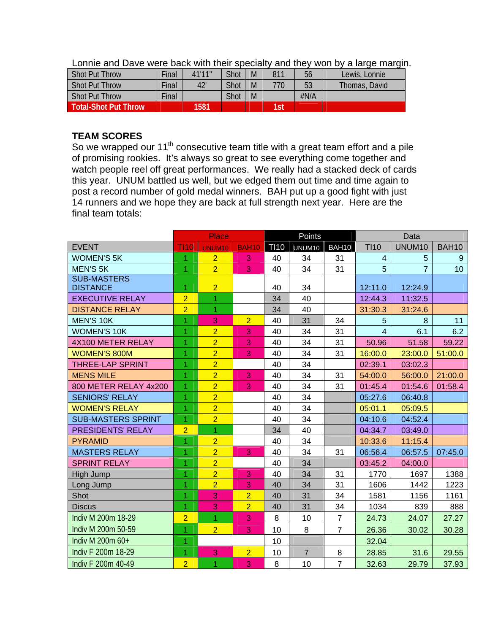| <b>Shot Put Throw</b>       | Final | 41'11" | <b>Shot</b> | M | 811        | 56   | Lewis, Lonnie |
|-----------------------------|-------|--------|-------------|---|------------|------|---------------|
| <b>Shot Put Throw</b>       | Final | 42'    | Shot        | M | 770.       | 53   | Thomas, David |
| <b>Shot Put Throw</b>       | Final |        | Shot        | M |            | #N/A |               |
| <b>Total-Shot Put Throw</b> |       | 1581   |             |   | <b>Tst</b> |      |               |

Lonnie and Dave were back with their specialty and they won by a large margin.

### **TEAM SCORES**

So we wrapped our 11<sup>th</sup> consecutive team title with a great team effort and a pile of promising rookies. It's always so great to see everything come together and watch people reel off great performances. We really had a stacked deck of cards this year. UNUM battled us well, but we edged them out time and time again to post a record number of gold medal winners. BAH put up a good fight with just 14 runners and we hope they are back at full strength next year. Here are the final team totals:

|                           |                | <b>Place</b>   |                |             | Points             |                |                | Data           |                 |
|---------------------------|----------------|----------------|----------------|-------------|--------------------|----------------|----------------|----------------|-----------------|
| <b>EVENT</b>              | <b>TI10</b>    | <b>UNUM10</b>  | <b>BAH10</b>   | <b>TI10</b> | UNUM <sub>10</sub> | BAH10          | <b>TI10</b>    | UNUM10         | <b>BAH10</b>    |
| <b>WOMEN'S 5K</b>         | 1              | $\overline{2}$ | 3              | 40          | 34                 | 31             | 4              | 5              | 9               |
| <b>MEN'S 5K</b>           | $\overline{1}$ | $\overline{2}$ | 3              | 40          | 34                 | 31             | 5              | $\overline{7}$ | 10 <sup>°</sup> |
| <b>SUB-MASTERS</b>        |                |                |                |             |                    |                |                |                |                 |
| <b>DISTANCE</b>           | 1              | $\overline{2}$ |                | 40          | 34                 |                | 12:11.0        | 12:24.9        |                 |
| <b>EXECUTIVE RELAY</b>    | $\overline{2}$ | 1              |                | 34          | 40                 |                | 12:44.3        | 11:32.5        |                 |
| <b>DISTANCE RELAY</b>     | $\overline{2}$ | $\overline{1}$ |                | 34          | 40                 |                | 31:30.3        | 31:24.6        |                 |
| <b>MEN'S 10K</b>          | $\overline{1}$ | 3              | $\overline{2}$ | 40          | 31                 | 34             | 5              | 8              | 11              |
| <b>WOMEN'S 10K</b>        | $\overline{1}$ | $\overline{2}$ | 3              | 40          | 34                 | 31             | $\overline{4}$ | 6.1            | 6.2             |
| 4X100 METER RELAY         | 1              | $\overline{2}$ | 3              | 40          | 34                 | 31             | 50.96          | 51.58          | 59.22           |
| <b>WOMEN'S 800M</b>       | 1              | $\overline{2}$ | 3              | 40          | 34                 | 31             | 16:00.0        | 23:00.0        | 51:00.0         |
| <b>THREE-LAP SPRINT</b>   | 1              | $\overline{2}$ |                | 40          | 34                 |                | 02:39.1        | 03:02.3        |                 |
| <b>MENS MILE</b>          | $\overline{1}$ | $\overline{2}$ | 3              | 40          | 34                 | 31             | 54:00.0        | 56:00.0        | 21:00.0         |
| 800 METER RELAY 4x200     | $\overline{1}$ | $\overline{2}$ | 3              | 40          | 34                 | 31             | 01:45.4        | 01:54.6        | 01:58.4         |
| <b>SENIORS' RELAY</b>     | 1              | $\overline{2}$ |                | 40          | 34                 |                | 05:27.6        | 06:40.8        |                 |
| <b>WOMEN'S RELAY</b>      | $\overline{1}$ | $\overline{2}$ |                | 40          | 34                 |                | 05:01.1        | 05:09.5        |                 |
| <b>SUB-MASTERS SPRINT</b> | 1              | $\overline{2}$ |                | 40          | 34                 |                | 04:10.6        | 04:52.4        |                 |
| PRESIDENTS' RELAY         | $\overline{2}$ | 1              |                | 34          | 40                 |                | 04:34.7        | 03:49.0        |                 |
| <b>PYRAMID</b>            | $\overline{1}$ | $\overline{2}$ |                | 40          | 34                 |                | 10:33.6        | 11:15.4        |                 |
| <b>MASTERS RELAY</b>      | $\overline{1}$ | $\overline{2}$ | 3              | 40          | 34                 | 31             | 06:56.4        | 06:57.5        | 07:45.0         |
| <b>SPRINT RELAY</b>       | 1              | $\overline{2}$ |                | 40          | 34                 |                | 03:45.2        | 04:00.0        |                 |
| High Jump                 | 1              | $\overline{2}$ | 3              | 40          | 34                 | 31             | 1770           | 1697           | 1388            |
| Long Jump                 | $\overline{1}$ | $\overline{2}$ | 3              | 40          | 34                 | 31             | 1606           | 1442           | 1223            |
| Shot                      | $\overline{1}$ | 3              | $\overline{2}$ | 40          | 31                 | 34             | 1581           | 1156           | 1161            |
| <b>Discus</b>             | $\overline{1}$ | 3              | $\overline{2}$ | 40          | 31                 | 34             | 1034           | 839            | 888             |
| Indiv M 200m 18-29        | $\overline{2}$ | 1              | 3              | 8           | 10                 | $\overline{7}$ | 24.73          | 24.07          | 27.27           |
| Indiv M 200m 50-59        | $\overline{1}$ | $\overline{2}$ | 3              | 10          | 8                  | $\overline{7}$ | 26.36          | 30.02          | 30.28           |
| Indiv M 200m 60+          | $\overline{1}$ |                |                | 10          |                    |                | 32.04          |                |                 |
| Indiv F 200m 18-29        | $\overline{1}$ | 3              | $\overline{2}$ | 10          | $\overline{7}$     | 8              | 28.85          | 31.6           | 29.55           |
| Indiv F 200m 40-49        | $\overline{2}$ | 1              | 3              | 8           | 10                 | $\overline{7}$ | 32.63          | 29.79          | 37.93           |